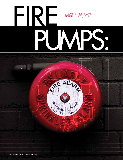# By John F. Saidi, P.E., and Richard J. Davis, P.E., J.D. PUMPS. **FIRE**

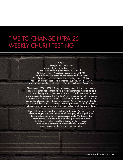## Time to Change NFPA 25 WEEKLY CHURN TESTING

#### A P PA ,

through its Code Advocacy Task Force (CATF), is active with code organizations such as the National Fire Protection Association (NFPA). This article reviews some of the recent work on NFPA 25, Standard for the Inspection, Testing, and Maintenance of Water-Based Fire Protection Systems, by the CATF and some members of the NFPA 25 Technical Committee.

The current (2008) NFPA 25 requires weekly tests of fire pump assemblies to be conducted without flowing water, sometimes referred to as a "churn test." During the current review cycle of NFPA 25 we submitted several proposals to decrease the "no-flow" test frequency for all fire pumps from weekly to monthly, and one proposal to decrease the churn test frequency for electric motor driven fire pumps. As of this writing, the latter proposal has made it through several processes to final balloting, although we remain unsure of the final outcome of the proceedings.

This CATF work continued an effort begun by Mike Anthony, a senior electrical engineer at the University of Michigan, whose goal is reducing testing cost without compromising safety. We believe that weekly testing is an undue burden while providing no appreciable benefit. Indeed, weekly testing might be so frequent as to cause a decrease in system reliability. It should be abandoned for the reasons discussed below.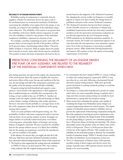#### **Reliability of Engine Driven Pumps**

Reliability testing of components is commonly done by suppliers, whether for electronic devices for space craft or for mechanical parts on construction machinery. Predictions concerning the reliability of an engine driven fire pump, or any assembly, are related to the reliability of the individual components when new. The reliability of the system is no greater than the reliability of the least reliable critical component. In addition, the reliability is related to the product of the individual component reliabilities, expressed as a fraction of one.

For example, a machine comprising two parts, each with a 90 percent chance of surviving for the life of the product, will have an 81 percent chance of performing without failure. The probability of failure is 19 percent. With an engine driven fire pump that is already in service, many other factors must be considered. The number of starts, the hours of operation, the load on the enmerely based on the judgment of the Technical Committee. Yet, changing the current weekly test frequency to monthly appears to require new data to justify the change based on published comments of the current Technical Committee.

- The Technical Committee has favored short testing intervals. Possible reasons are a reluctance to change long established requirements and the fact that many committee members in the fire protection and insurance industries are not directly impacted by the cost of frequent testing.
- NFPA standards are by definition minimum standards. As currently written, the weekly test requirement appears to deviate from this rule and represents a near maximum requirement. Even if the test frequency is increased to monthly, property owners, AHJs (Authorities Having Jurisdiction), and insurers will continue to have the option of increasing requirements, if warranted.

#### PREDICTIONS CONCERNING THE RELIABILITY OF AN ENGINE DRIVEN fire pump, or any assembly, are related to the reliability of the individual components when new.

gine during operation, the speed of the engine, the characteristics of the environment where the system is installed, the corrosive and erosive effects of the water, the age and condition of the battery, the knowledge and skill of the maintenance personnel, and the quality of the fire pump's controls all affect reliability.

Frequent testing has both beneficial and negative consequences. A key benefit is the opportunity to find equipment that is malfunctioning on a schedule that corresponds to the testing, at least weekly in the case of NFPA 25. Another advantage is that the engine cylinder walls and bearings are likely to have thicker coatings of lubricant with weekly operation. However, this latter benefit probably is a stronger factor in the life of the equipment rather than the likelihood of the pump starting when needed.

There are some problems with frequent testing, too. The probability of failure with many components tends to increase with the hours of use and the number of starts. Examples are fatigue failures of cyclically loaded metal parts, wear failure of moving parts, catastrophic failure of bearings, and arcing failures of magnetic solenoids. We have searched for reliability data for fire pumps without success. It is likely that reliability data for fire pumps are proprietary, owned by the manufacturers, and not available to the public.

In the absence of concrete data, you might ask why the Code Advocacy Task Force and some Technical Committee members have advocated reduced testing frequencies. Some of the reasons are:

• We found no data supporting the testing intervals established in NFPA 25 when it was first issued in 1992. Our evidence today indicates that the original testing protocols were

- In communities that have adopted NFPA 25, owners wishing to reduce the testing frequency required by NFPA 25 may not often do so, even after following a documented formal alternative pump testing program. AHJs don't generally permit deviations to existing standards, perhaps to avoid the potential liability.
- According to a casing relief manufacturer, poorly set casing relief valves can cause irreparable damage to gaskets and orings such that excessive pump testing can actually be more detrimental to a pump than less frequent testing.
- Many owners have redundant fire pumps, each capable of sustaining the design load. Redundant system design is an accepted engineering solution for critical systems. The capital expense of redundant systems improves reliability, and can prevent the replacement of functioning components during the life of the equipment, lowering preventive maintenance costs. An example can illustrate the design benefit. If the probability of a fire pump failing is 2 percent, two redundant pumps each have a 98 percent chance of starting and operating. The chance that neither starts is the product of the two failure rates, (0.02) (0.02) or 0.04 percent. There is a 99.96 percent chance that at least one of the engines will start. This example uses a low reliability for the individual pumps to illustrate the remarkable benefit of redundant design. NFPA 25 should at least consider the effect of redundancy on test frequencies. It does not.
- The U.S. Department of Defense (since 2001) permits monthly testing of diesel engine and electric motor fire pumps; Australia (since 2005) permits electric motor fire pumps to be tested monthly.